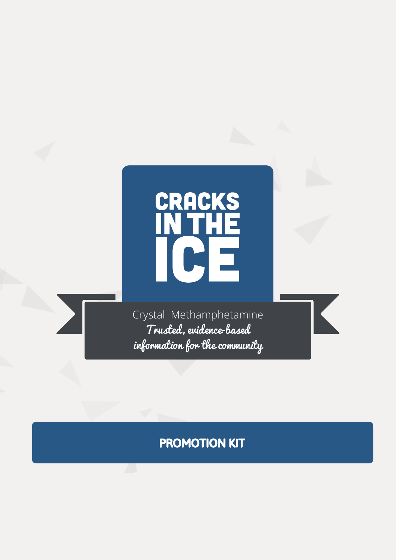

Crystal Methamphetamine Trusted, evidence-based information for the community # PROMOTION KIT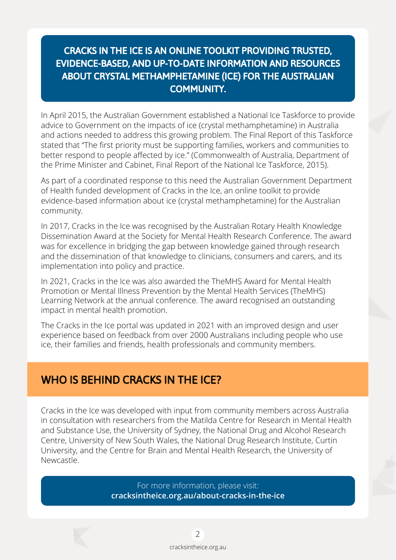### CRACKS IN THE ICE IS AN ONLINE TOOLKIT PROVIDING TRUSTED, EVIDENCE-BASED, AND UP-TO-DATE INFORMATION AND RESOURCES ABOUT CRYSTAL METHAMPHETAMINE (ICE) FOR THE AUSTRALIAN COMMUNITY.

In April 2015, the Australian Government established a National Ice Taskforce to provide advice to Government on the impacts of ice (crystal methamphetamine) in Australia and actions needed to address this growing problem. The Final Report of this Taskforce stated that "The first priority must be supporting families, workers and communities to better respond to people affected by ice." (Commonwealth of Australia, Department of the Prime Minister and Cabinet, Final Report of the National Ice Taskforce, 2015).

As part of a coordinated response to this need the Australian Government Department of Health funded development of Cracks in the Ice, an online toolkit to provide evidence-based information about ice (crystal methamphetamine) for the Australian community.

In 2017, Cracks in the Ice was recognised by the Australian Rotary Health Knowledge Dissemination Award at the Society for Mental Health Research Conference. The award was for excellence in bridging the gap between knowledge gained through research and the dissemination of that knowledge to clinicians, consumers and carers, and its implementation into policy and practice.

In 2021, Cracks in the Ice was also awarded the TheMHS Award for Mental Health Promotion or Mental Illness Prevention by the Mental Health Services (TheMHS) Learning Network at the annual conference. The award recognised an outstanding impact in mental health promotion.

The Cracks in the Ice portal was updated in 2021 with an improved design and user experience based on feedback from over 2000 Australians including people who use ice, their families and friends, health professionals and community members.

## WHO IS BEHIND CRACKS IN THE ICE?

Cracks in the Ice was developed with input from community members across Australia in consultation with researchers from the Matilda Centre for Research in Mental Health and Substance Use, the University of Sydney, the National Drug and Alcohol Research Centre, University of New South Wales, the National Drug Research Institute, Curtin University, and the Centre for Brain and Mental Health Research, the University of Newcastle.

> For more information, please visit: **cracksintheice.org.au/about-cracks-in-the-ice**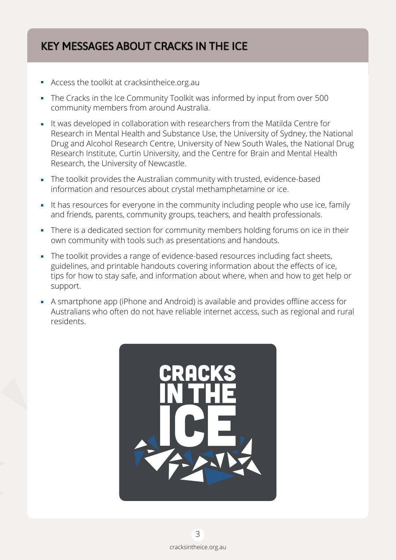## KEY MESSAGES ABOUT CRACKS IN THE ICE

- Access the toolkit at cracksintheice.org.au
- The Cracks in the Ice Community Toolkit was informed by input from over 500 community members from around Australia.
- It was developed in collaboration with researchers from the Matilda Centre for Research in Mental Health and Substance Use, the University of Sydney, the National Drug and Alcohol Research Centre, University of New South Wales, the National Drug Research Institute, Curtin University, and the Centre for Brain and Mental Health Research, the University of Newcastle.
- The toolkit provides the Australian community with trusted, evidence-based information and resources about crystal methamphetamine or ice.
- It has resources for everyone in the community including people who use ice, family and friends, parents, community groups, teachers, and health professionals.
- There is a dedicated section for community members holding forums on ice in their own community with tools such as presentations and handouts.
- The toolkit provides a range of evidence-based resources including fact sheets, guidelines, and printable handouts covering information about the effects of ice, tips for how to stay safe, and information about where, when and how to get help or support.
- A smartphone app (iPhone and Android) is available and provides offline access for Australians who often do not have reliable internet access, such as regional and rural residents.

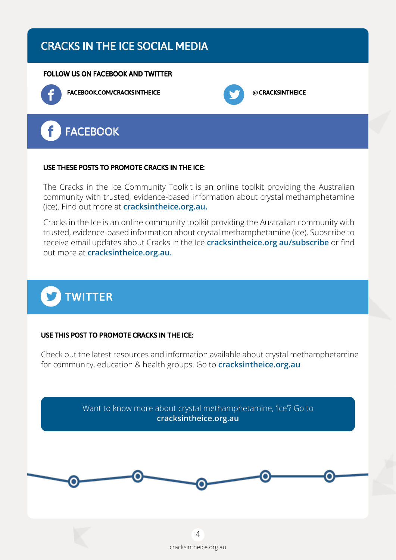## CRACKS IN THE ICE SOCIAL MEDIA

#### FOLLOW US ON FACEBOOK AND TWITTER



FACEBOOK.COM/CRACKSINTHEICE **@**CRACKSINTHEICE





#### USE THESE POSTS TO PROMOTE CRACKS IN THE ICE:

The Cracks in the Ice Community Toolkit is an online toolkit providing the Australian community with trusted, evidence-based information about crystal methamphetamine (ice). Find out more at **cracksintheice.org.au.**

Cracks in the Ice is an online community toolkit providing the Australian community with trusted, evidence-based information about crystal methamphetamine (ice). Subscribe to receive email updates about Cracks in the Ice **cracksintheice.org au/subscribe** or find out more at **cracksintheice.org.au.**



#### USE THIS POST TO PROMOTE CRACKS IN THE ICE:

Check out the latest resources and information available about crystal methamphetamine for community, education & health groups. Go to **cracksintheice.org.au**

> Want to know more about crystal methamphetamine, 'ice'? Go to **cracksintheice.org.au**

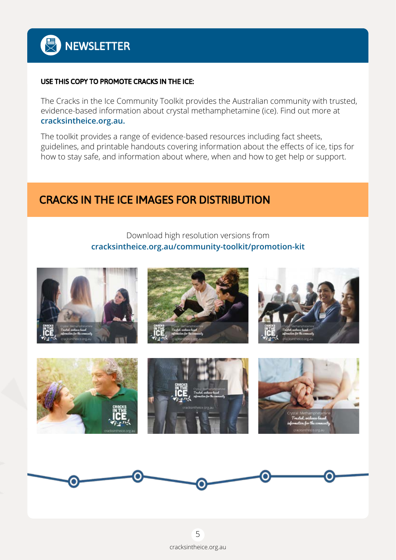#### USE THIS COPY TO PROMOTE CRACKS IN THE ICE:

The Cracks in the Ice Community Toolkit provides the Australian community with trusted, evidence-based information about crystal methamphetamine (ice). Find out more at **cracksintheice.org.au.**

The toolkit provides a range of evidence-based resources including fact sheets, guidelines, and printable handouts covering information about the effects of ice, tips for how to stay safe, and information about where, when and how to get help or support.

## CRACKS IN THE ICE IMAGES FOR DISTRIBUTION

#### Download high resolution versions from **cracksintheice.org.au/community-toolkit/promotion-kit**